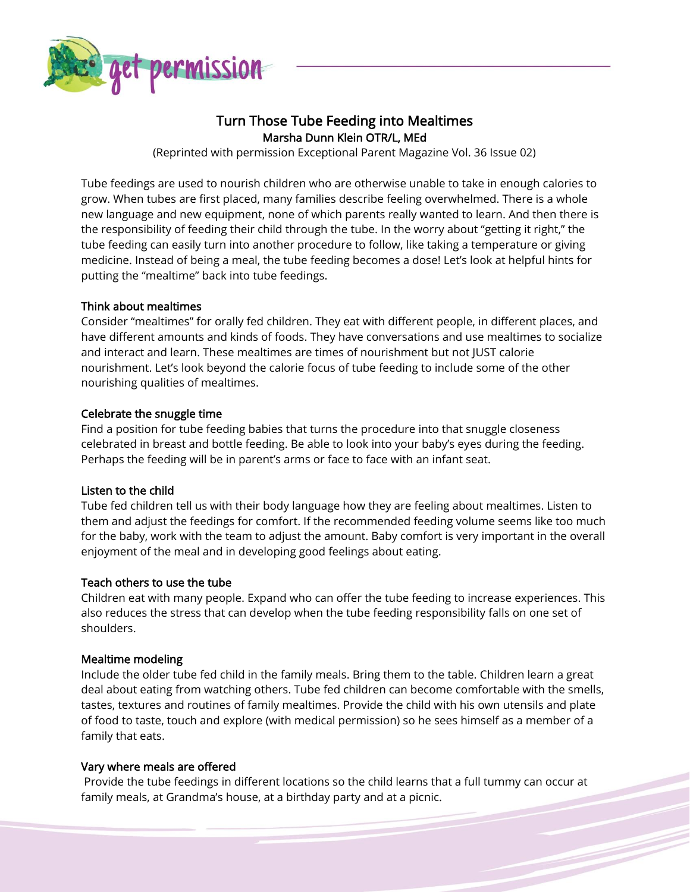

# Turn Those Tube Feeding into Mealtimes Marsha Dunn Klein OTR/L, MEd

(Reprinted with permission Exceptional Parent Magazine Vol. 36 Issue 02)

Tube feedings are used to nourish children who are otherwise unable to take in enough calories to grow. When tubes are first placed, many families describe feeling overwhelmed. There is a whole new language and new equipment, none of which parents really wanted to learn. And then there is the responsibility of feeding their child through the tube. In the worry about "getting it right," the tube feeding can easily turn into another procedure to follow, like taking a temperature or giving medicine. Instead of being a meal, the tube feeding becomes a dose! Let's look at helpful hints for putting the "mealtime" back into tube feedings.

# Think about mealtimes

Consider "mealtimes" for orally fed children. They eat with different people, in different places, and have different amounts and kinds of foods. They have conversations and use mealtimes to socialize and interact and learn. These mealtimes are times of nourishment but not JUST calorie nourishment. Let's look beyond the calorie focus of tube feeding to include some of the other nourishing qualities of mealtimes.

## Celebrate the snuggle time

Find a position for tube feeding babies that turns the procedure into that snuggle closeness celebrated in breast and bottle feeding. Be able to look into your baby's eyes during the feeding. Perhaps the feeding will be in parent's arms or face to face with an infant seat.

# Listen to the child

Tube fed children tell us with their body language how they are feeling about mealtimes. Listen to them and adjust the feedings for comfort. If the recommended feeding volume seems like too much for the baby, work with the team to adjust the amount. Baby comfort is very important in the overall enjoyment of the meal and in developing good feelings about eating.

# Teach others to use the tube

Children eat with many people. Expand who can offer the tube feeding to increase experiences. This also reduces the stress that can develop when the tube feeding responsibility falls on one set of shoulders.

## Mealtime modeling

Include the older tube fed child in the family meals. Bring them to the table. Children learn a great deal about eating from watching others. Tube fed children can become comfortable with the smells, tastes, textures and routines of family mealtimes. Provide the child with his own utensils and plate of food to taste, touch and explore (with medical permission) so he sees himself as a member of a family that eats.

## Vary where meals are offered

Provide the tube feedings in different locations so the child learns that a full tummy can occur at family meals, at Grandma's house, at a birthday party and at a picnic.